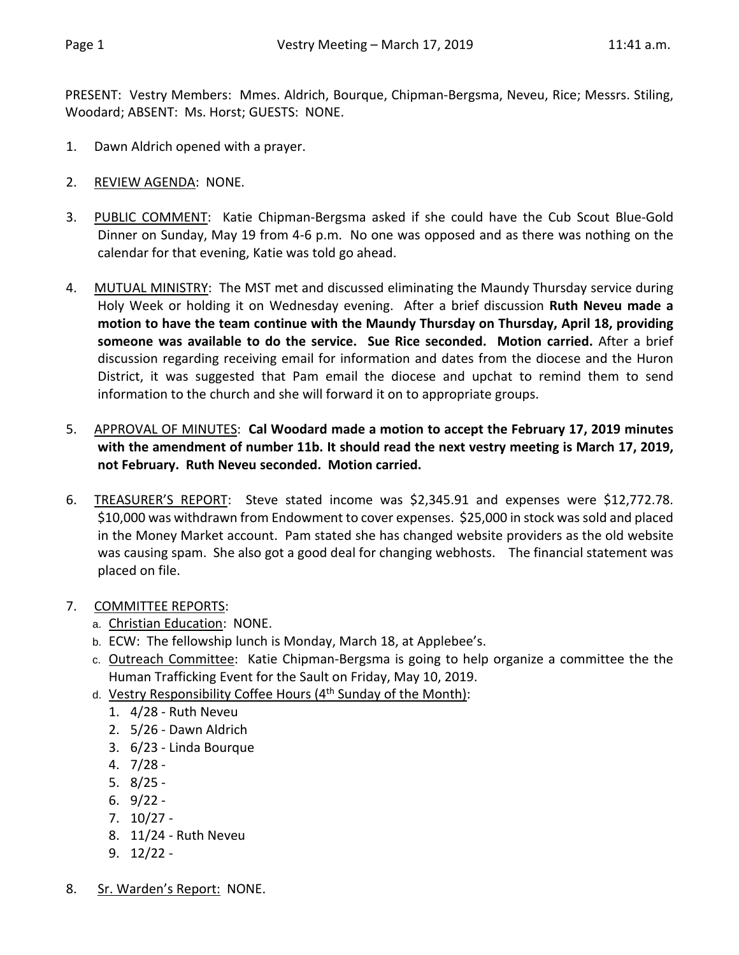PRESENT: Vestry Members: Mmes. Aldrich, Bourque, Chipman-Bergsma, Neveu, Rice; Messrs. Stiling, Woodard; ABSENT: Ms. Horst; GUESTS: NONE.

- 1. Dawn Aldrich opened with a prayer.
- 2. REVIEW AGENDA: NONE.
- 3. PUBLIC COMMENT: Katie Chipman-Bergsma asked if she could have the Cub Scout Blue-Gold Dinner on Sunday, May 19 from 4-6 p.m. No one was opposed and as there was nothing on the calendar for that evening, Katie was told go ahead.
- 4. MUTUAL MINISTRY: The MST met and discussed eliminating the Maundy Thursday service during Holy Week or holding it on Wednesday evening. After a brief discussion **Ruth Neveu made a motion to have the team continue with the Maundy Thursday on Thursday, April 18, providing someone was available to do the service. Sue Rice seconded. Motion carried.** After a brief discussion regarding receiving email for information and dates from the diocese and the Huron District, it was suggested that Pam email the diocese and upchat to remind them to send information to the church and she will forward it on to appropriate groups.
- 5. APPROVAL OF MINUTES: **Cal Woodard made a motion to accept the February 17, 2019 minutes with the amendment of number 11b. It should read the next vestry meeting is March 17, 2019, not February. Ruth Neveu seconded. Motion carried.**
- 6. TREASURER'S REPORT: Steve stated income was \$2,345.91 and expenses were \$12,772.78. \$10,000 was withdrawn from Endowment to cover expenses. \$25,000 in stock wassold and placed in the Money Market account. Pam stated she has changed website providers as the old website was causing spam. She also got a good deal for changing webhosts. The financial statement was placed on file.
- 7. COMMITTEE REPORTS:
	- a. Christian Education: NONE.
	- b. ECW: The fellowship lunch is Monday, March 18, at Applebee's.
	- c. Outreach Committee: Katie Chipman-Bergsma is going to help organize a committee the the Human Trafficking Event for the Sault on Friday, May 10, 2019.
	- d. Vestry Responsibility Coffee Hours (4<sup>th</sup> Sunday of the Month):
		- 1. 4/28 Ruth Neveu
		- 2. 5/26 Dawn Aldrich
		- 3. 6/23 Linda Bourque
		- 4. 7/28 -
		- 5. 8/25 -
		- 6. 9/22 -
		- 7. 10/27 -
		- 8. 11/24 Ruth Neveu
		- 9. 12/22 -
- 8. Sr. Warden's Report: NONE.